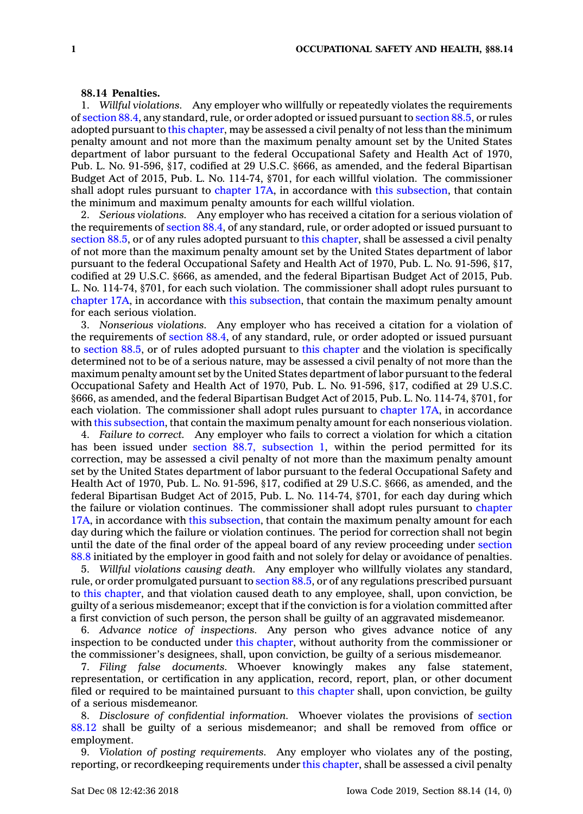## **88.14 Penalties.**

1. *Willful violations.* Any employer who willfully or repeatedly violates the requirements of [section](https://www.legis.iowa.gov/docs/code/88.4.pdf) 88.4, any standard, rule, or order adopted or issued pursuant to [section](https://www.legis.iowa.gov/docs/code/88.5.pdf) 88.5, or rules adopted pursuant to this [chapter](https://www.legis.iowa.gov/docs/code//88.pdf), may be assessed <sup>a</sup> civil penalty of not less than the minimum penalty amount and not more than the maximum penalty amount set by the United States department of labor pursuant to the federal Occupational Safety and Health Act of 1970, Pub. L. No. 91-596, §17, codified at 29 U.S.C. §666, as amended, and the federal Bipartisan Budget Act of 2015, Pub. L. No. 114-74, §701, for each willful violation. The commissioner shall adopt rules pursuant to [chapter](https://www.legis.iowa.gov/docs/code//17A.pdf) 17A, in accordance with this [subsection](https://www.legis.iowa.gov/docs/code/88.14.pdf), that contain the minimum and maximum penalty amounts for each willful violation.

2. *Serious violations.* Any employer who has received <sup>a</sup> citation for <sup>a</sup> serious violation of the requirements of [section](https://www.legis.iowa.gov/docs/code/88.4.pdf) 88.4, of any standard, rule, or order adopted or issued pursuant to [section](https://www.legis.iowa.gov/docs/code/88.5.pdf) 88.5, or of any rules adopted pursuant to this [chapter](https://www.legis.iowa.gov/docs/code//88.pdf), shall be assessed <sup>a</sup> civil penalty of not more than the maximum penalty amount set by the United States department of labor pursuant to the federal Occupational Safety and Health Act of 1970, Pub. L. No. 91-596, §17, codified at 29 U.S.C. §666, as amended, and the federal Bipartisan Budget Act of 2015, Pub. L. No. 114-74, §701, for each such violation. The commissioner shall adopt rules pursuant to [chapter](https://www.legis.iowa.gov/docs/code//17A.pdf) 17A, in accordance with this [subsection](https://www.legis.iowa.gov/docs/code/88.14.pdf), that contain the maximum penalty amount for each serious violation.

3. *Nonserious violations.* Any employer who has received <sup>a</sup> citation for <sup>a</sup> violation of the requirements of [section](https://www.legis.iowa.gov/docs/code/88.4.pdf) 88.4, of any standard, rule, or order adopted or issued pursuant to [section](https://www.legis.iowa.gov/docs/code/88.5.pdf) 88.5, or of rules adopted pursuant to this [chapter](https://www.legis.iowa.gov/docs/code//88.pdf) and the violation is specifically determined not to be of <sup>a</sup> serious nature, may be assessed <sup>a</sup> civil penalty of not more than the maximum penalty amount set by the United States department of labor pursuant to the federal Occupational Safety and Health Act of 1970, Pub. L. No. 91-596, §17, codified at 29 U.S.C. §666, as amended, and the federal Bipartisan Budget Act of 2015, Pub. L. No. 114-74, §701, for each violation. The commissioner shall adopt rules pursuant to [chapter](https://www.legis.iowa.gov/docs/code//17A.pdf) 17A, in accordance with this [subsection](https://www.legis.iowa.gov/docs/code/88.14.pdf), that contain the maximum penalty amount for each nonserious violation.

4. *Failure to correct.* Any employer who fails to correct <sup>a</sup> violation for which <sup>a</sup> citation has been issued under section 88.7, [subsection](https://www.legis.iowa.gov/docs/code/88.7.pdf) 1, within the period permitted for its correction, may be assessed <sup>a</sup> civil penalty of not more than the maximum penalty amount set by the United States department of labor pursuant to the federal Occupational Safety and Health Act of 1970, Pub. L. No. 91-596, §17, codified at 29 U.S.C. §666, as amended, and the federal Bipartisan Budget Act of 2015, Pub. L. No. 114-74, §701, for each day during which the failure or violation continues. The commissioner shall adopt rules pursuant to [chapter](https://www.legis.iowa.gov/docs/code//17A.pdf) [17A](https://www.legis.iowa.gov/docs/code//17A.pdf), in accordance with this [subsection](https://www.legis.iowa.gov/docs/code/88.14.pdf), that contain the maximum penalty amount for each day during which the failure or violation continues. The period for correction shall not begin until the date of the final order of the appeal board of any review proceeding under [section](https://www.legis.iowa.gov/docs/code/88.8.pdf) [88.8](https://www.legis.iowa.gov/docs/code/88.8.pdf) initiated by the employer in good faith and not solely for delay or avoidance of penalties.

5. *Willful violations causing death.* Any employer who willfully violates any standard, rule, or order promulgated pursuant to [section](https://www.legis.iowa.gov/docs/code/88.5.pdf) 88.5, or of any regulations prescribed pursuant to this [chapter](https://www.legis.iowa.gov/docs/code//88.pdf), and that violation caused death to any employee, shall, upon conviction, be guilty of <sup>a</sup> serious misdemeanor; except that if the conviction is for <sup>a</sup> violation committed after <sup>a</sup> first conviction of such person, the person shall be guilty of an aggravated misdemeanor.

6. *Advance notice of inspections.* Any person who gives advance notice of any inspection to be conducted under this [chapter](https://www.legis.iowa.gov/docs/code//88.pdf), without authority from the commissioner or the commissioner's designees, shall, upon conviction, be guilty of <sup>a</sup> serious misdemeanor.

7. *Filing false documents.* Whoever knowingly makes any false statement, representation, or certification in any application, record, report, plan, or other document filed or required to be maintained pursuant to this [chapter](https://www.legis.iowa.gov/docs/code//88.pdf) shall, upon conviction, be guilty of <sup>a</sup> serious misdemeanor.

8. *Disclosure of confidential information.* Whoever violates the provisions of [section](https://www.legis.iowa.gov/docs/code/88.12.pdf) [88.12](https://www.legis.iowa.gov/docs/code/88.12.pdf) shall be guilty of <sup>a</sup> serious misdemeanor; and shall be removed from office or employment.

9. *Violation of posting requirements.* Any employer who violates any of the posting, reporting, or recordkeeping requirements under this [chapter](https://www.legis.iowa.gov/docs/code//88.pdf), shall be assessed <sup>a</sup> civil penalty